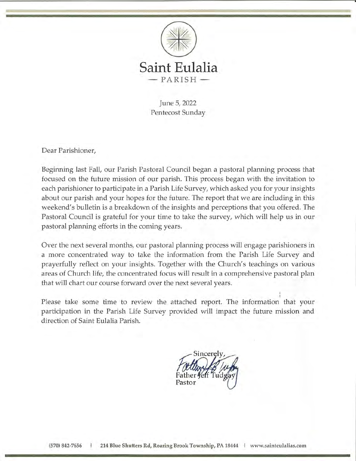

June 5, 2022 Pentecost Sunday

Dear Parishioner,

Beginning last Fall, our Parish Pastoral Council began a pastoral planning process that focused on the future mission of our parish. This process began with the invitation to each parishioner to participate in a Parish Life Survey, which asked you for your insights about our parish and your hopes for the future. The report that we are including in this weekend's bulletin is a breakdown of the insights and perceptions that you offered. The Pastoral Council is grateful for your time to take the survey, which will help us in our pastoral planning efforts in the coming years.

Over the next several months, our pastoral planning process will engage parishioners in a more concentrated way to take the information from the Parish Life Survey and prayerfully reflect on your insights. Together with the Church's teachings on various areas of Church life, the concentrated focus will result in a comprehensive pastoral plan that will chart our course forward over the next several years.

Please take some time to review the attached report. The information that your participation in the Parish Life Survey provided will impact the future mission and direction of Saint Eulalia Parish.

incerely Pastor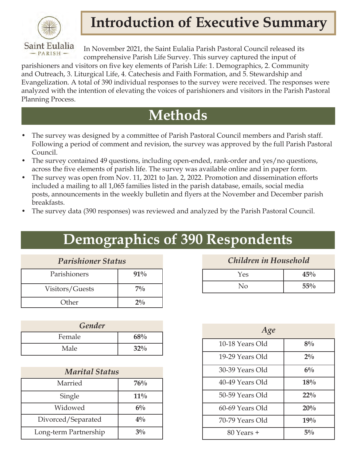

# **Introduction of Executive Summary**

In November 2021, the Saint Eulalia Parish Pastoral Council released its comprehensive Parish Life Survey. This survey captured the input of

parishioners and visitors on five key elements of Parish Life: 1. Demographics, 2. Community and Outreach, 3. Liturgical Life, 4. Catechesis and Faith Formation, and 5. Stewardship and Evangelization. A total of 390 individual responses to the survey were received. The responses were analyzed with the intention of elevating the voices of parishioners and visitors in the Parish Pastoral Planning Process.

### **Methods**

- The survey was designed by a committee of Parish Pastoral Council members and Parish staff. Following a period of comment and revision, the survey was approved by the full Parish Pastoral Council.
- The survey contained 49 questions, including open-ended, rank-order and yes/no questions, across the five elements of parish life. The survey was available online and in paper form.
- The survey was open from Nov. 11, 2021 to Jan. 2, 2022. Promotion and dissemination efforts included a mailing to all 1,065 families listed in the parish database, emails, social media posts, announcements in the weekly bulletin and flyers at the November and December parish breakfasts.
- The survey data (390 responses) was reviewed and analyzed by the Parish Pastoral Council.

# **Demographics of 390 Respondents**

| <b>Parishioner Status</b> |              |  |
|---------------------------|--------------|--|
| Parishioners              | $91\%$       |  |
| Visitors/Guests           | 70/6         |  |
| Other                     | $2^{0}/_{0}$ |  |

| Gender |     |                 | Age             |
|--------|-----|-----------------|-----------------|
| Female | 68% |                 |                 |
| Male   | 32% | 10-18 Years Old |                 |
|        |     |                 | $10.0037 - 011$ |

| <b>Marital Status</b> |        |  |
|-----------------------|--------|--|
| Married               | 76%    |  |
| Single                | $11\%$ |  |
| Widowed               | $6\%$  |  |
| Divorced/Separated    | $4\%$  |  |
| Long-term Partnership | $3\%$  |  |

*Children in Household*

| Yes | 45% |
|-----|-----|
| No  | 55% |

| Age             |        |  |
|-----------------|--------|--|
| 10-18 Years Old | $8\%$  |  |
| 19-29 Years Old | $2\%$  |  |
| 30-39 Years Old | $6\%$  |  |
| 40-49 Years Old | 18%    |  |
| 50-59 Years Old | $22\%$ |  |
| 60-69 Years Old | 20%    |  |
| 70-79 Years Old | 19%    |  |
| 80 Years +      | $5\%$  |  |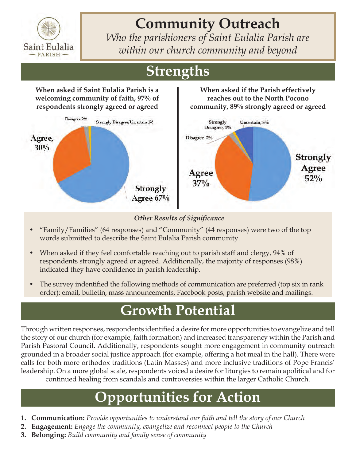

# **Community Outreach**

*Who the parishioners of Saint Eulalia Parish are within our church community and beyond*

> **When asked if the Parish effectively reaches out to the North Pocono community, 89% strongly agreed or agreed**

# **Strengths**

**When asked if Saint Eulalia Parish is a welcoming community of faith, 97% of respondents strongly agreed or agreed**



#### *Other Results of Significance*

- "Family/Families" (64 responses) and "Community" (44 responses) were two of the top words submitted to describe the Saint Eulalia Parish community.
- When asked if they feel comfortable reaching out to parish staff and clergy, 94% of respondents strongly agreed or agreed. Additionally, the majority of responses (98%) indicated they have confidence in parish leadership.
- The survey indentified the following methods of communication are preferred (top six in rank order): email, bulletin, mass announcements, Facebook posts, parish website and mailings.

### **Growth Potential**

Through written responses, respondents identified a desire for more opportunities to evangelize and tell the story of our church (for example, faith formation) and increased transparency within the Parish and Parish Pastoral Council. Additionally, respondents sought more engagement in community outreach grounded in a broader social justice approach (for example, offering a hot meal in the hall). There were calls for both more orthodox traditions (Latin Masses) and more inclusive traditions of Pope Francis' leadership. On a more global scale, respondents voiced a desire for liturgies to remain apolitical and for continued healing from scandals and controversies within the larger Catholic Church.

- **1. Communication:** *Provide opportunities to understand our faith and tell the story of our Church*
- **2. Engagement:** *Engage the community, evangelize and reconnect people to the Church*
- **3. Belonging:** *Build community and family sense of community*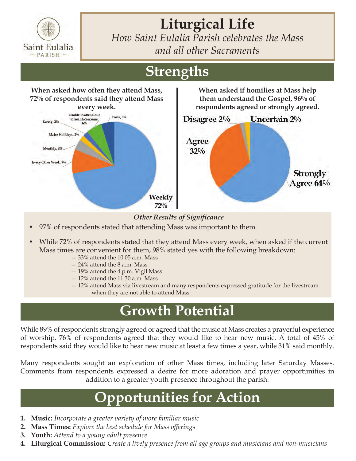

**Liturgical Life** *How Saint Eulalia Parish celebrates the Mass* 

*and all other Sacraments*

# **Strengths**



#### *Other Results of Significance*

- 97% of respondents stated that attending Mass was important to them.
- While 72% of respondents stated that they attend Mass every week, when asked if the current Mass times are convenient for them, 98% stated yes with the following breakdown:<br> $-33%$  attend the 10:05 a.m. Mass
	-
	- 24% attend the 8 a.m. Mass
	- 19% attend the 4 p.m. Vigil Mass
	- 12% attend the 11:30 a.m. Mass
	- 12% attend Mass via livestream and many respondents expressed gratitude for the livestream when they are not able to attend Mass.

#### **Growth Potential**

While 89% of respondents strongly agreed or agreed that the music at Mass creates a prayerful experience of worship, 76% of respondents agreed that they would like to hear new music. A total of 45% of respondents said they would like to hear new music at least a few times a year, while 31% said monthly.

Many respondents sought an exploration of other Mass times, including later Saturday Masses. Comments from respondents expressed a desire for more adoration and prayer opportunities in addition to a greater youth presence throughout the parish.

- **1. Music:** *Incorporate a greater variety of more familiar music*
- **2. Mass Times:** *Explore the best schedule for Mass offerings*
- **3. Youth:** *Attend to a young adult presence*
- **4. Liturgical Commission:** *Create a lively presence from all age groups and musicians and non-musicians*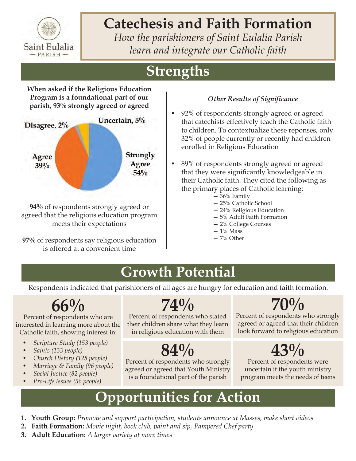

# **Catechesis and Faith Formation**

*How the parishioners of Saint Eulalia Parish learn and integrate our Catholic faith*

# **Strengths**

**When asked if the Religious Education Program is a foundational part of our parish, 93% strongly agreed or agreed**



**94%** of respondents strongly agreed or agreed that the religious education program meets their expectations

**97%** of respondents say religious education is offered at a convenient time

#### *Other Results of Significance*

- 92% of respondents strongly agreed or agreed that catechists effectively teach the Catholic faith to children. To contextualize these reponses, only 32% of people currently or recently had children enrolled in Religious Education
- 89% of respondents strongly agreed or agreed that they were significantly knowledgeable in their Catholic faith. They cited the following as the primary places of Catholic learning:
	- 36% Family
	- 25% Catholic School
	- 24% Religious Education
	- 5% Adult Faith Formation
	- 2% College Courses
	- $-1\%$  Mass
	- 7% Other

#### **Growth Potential**

Respondents indicated that parishioners of all ages are hungry for education and faith formation.

# **66%**

Percent of respondents who are interested in learning more about the Catholic faith, showing interest in:

- *• Scripture Study (153 people)*
- *• Saints (133 people)*
- *• Church History (128 people)*
- *• Marriage & Family (96 people)*
- *• Social Justice (82 people)*
- *• Pro-Life Issues (56 people)*

## **74%**

Percent of respondents who stated their children share what they learn in religious education with them

# **84%**

Percent of respondents who strongly agreed or agreed that Youth Ministry is a foundational part of the parish

# **70%**

Percent of respondents who strongly agreed or agreed that their children look forward to religious education

# **43%**

Percent of respondents were uncertain if the youth ministry program meets the needs of teens

- **1. Youth Group:** *Promote and support participation, students announce at Masses, make short videos*
- **2. Faith Formation:** *Movie night, book club, paint and sip, Pampered Chef party*
- **3. Adult Education:** *A larger variety at more times*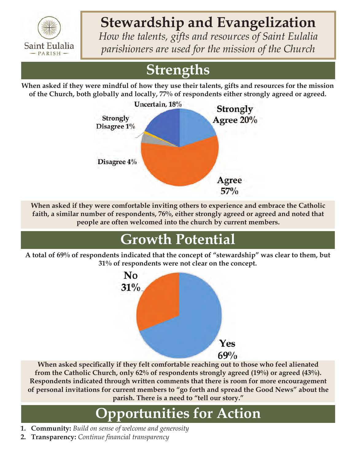

# **Stewardship and Evangelization**

*How the talents, gifts and resources of Saint Eulalia parishioners are used for the mission of the Church*

# **Strengths**

**When asked if they were mindful of how they use their talents, gifts and resources for the mission of the Church, both globally and locally, 77% of respondents either strongly agreed or agreed.**



**When asked if they were comfortable inviting others to experience and embrace the Catholic faith, a similar number of respondents, 76%, either strongly agreed or agreed and noted that people are often welcomed into the church by current members.**

# **Growth Potential**

**A total of 69% of respondents indicated that the concept of "stewardship" was clear to them, but 31% of respondents were not clear on the concept.**



**When asked specifically if they felt comfortable reaching out to those who feel alienated from the Catholic Church, only 62% of respondents strongly agreed (19%) or agreed (43%). Respondents indicated through written comments that there is room for more encouragement of personal invitations for current members to "go forth and spread the Good News" about the parish. There is a need to "tell our story."**

- **1. Community:** *Build on sense of welcome and generosity*
- **2. Transparency:** *Continue financial transparency*